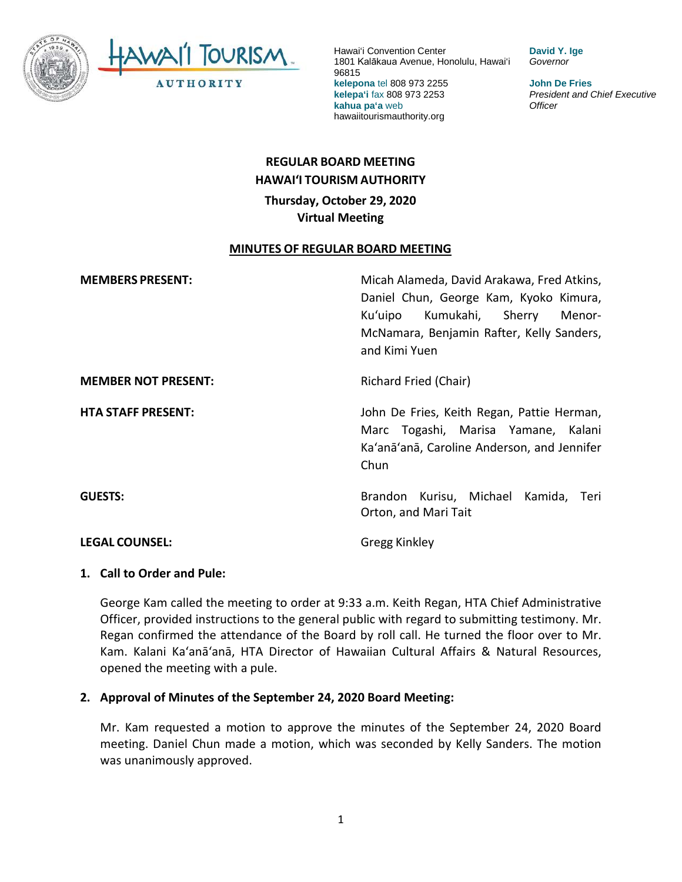

**David Y. Ige** *Governor*

**John De Fries** *President and Chief Executive Officer*

# **REGULAR BOARD MEETING HAWAI'I TOURISM AUTHORITY Thursday, October 29, 2020 Virtual Meeting**

#### **MINUTES OF REGULAR BOARD MEETING**

| <b>MEMBERS PRESENT:</b>    | Micah Alameda, David Arakawa, Fred Atkins,<br>Daniel Chun, George Kam, Kyoko Kimura,<br>Ku'uipo Kumukahi, Sherry<br>Menor-<br>McNamara, Benjamin Rafter, Kelly Sanders,<br>and Kimi Yuen |
|----------------------------|------------------------------------------------------------------------------------------------------------------------------------------------------------------------------------------|
| <b>MEMBER NOT PRESENT:</b> | Richard Fried (Chair)                                                                                                                                                                    |
| <b>HTA STAFF PRESENT:</b>  | John De Fries, Keith Regan, Pattie Herman,<br>Marc Togashi, Marisa Yamane, Kalani<br>Ka'anā'anā, Caroline Anderson, and Jennifer<br>Chun                                                 |
| <b>GUESTS:</b>             | Brandon Kurisu, Michael Kamida, Teri<br>Orton, and Mari Tait                                                                                                                             |
| <b>LEGAL COUNSEL:</b>      | <b>Gregg Kinkley</b>                                                                                                                                                                     |

#### **1. Call to Order and Pule:**

George Kam called the meeting to order at 9:33 a.m. Keith Regan, HTA Chief Administrative Officer, provided instructions to the general public with regard to submitting testimony. Mr. Regan confirmed the attendance of the Board by roll call. He turned the floor over to Mr. Kam. Kalani Ka'anā'anā, HTA Director of Hawaiian Cultural Affairs & Natural Resources, opened the meeting with a pule.

#### **2. Approval of Minutes of the September 24, 2020 Board Meeting:**

Mr. Kam requested a motion to approve the minutes of the September 24, 2020 Board meeting. Daniel Chun made a motion, which was seconded by Kelly Sanders. The motion was unanimously approved.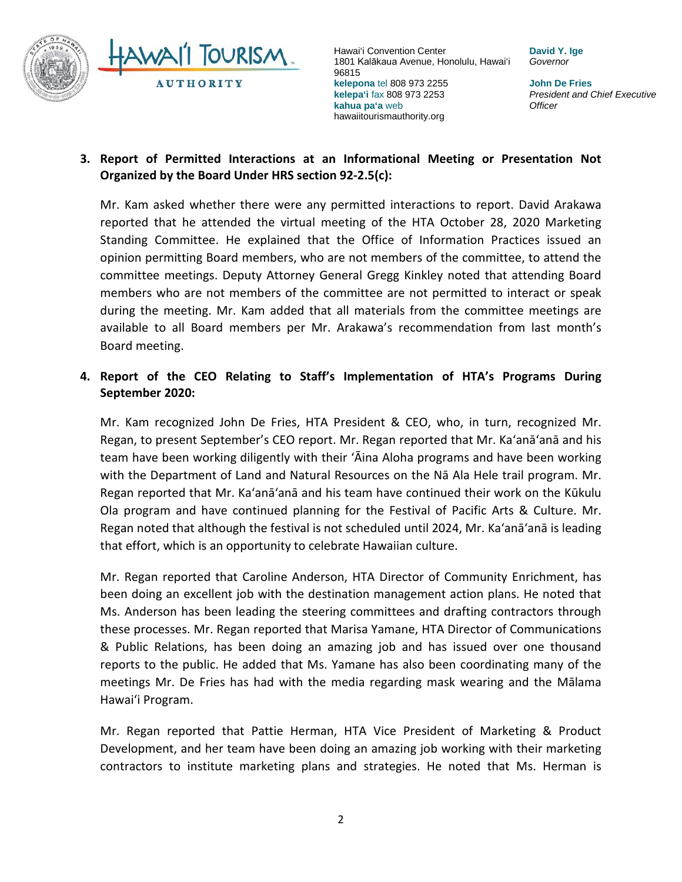

**David Y. Ige** *Governor*

**John De Fries** *President and Chief Executive Officer*

# **3. Report of Permitted Interactions at an Informational Meeting or Presentation Not Organized by the Board Under HRS section 92-2.5(c):**

Mr. Kam asked whether there were any permitted interactions to report. David Arakawa reported that he attended the virtual meeting of the HTA October 28, 2020 Marketing Standing Committee. He explained that the Office of Information Practices issued an opinion permitting Board members, who are not members of the committee, to attend the committee meetings. Deputy Attorney General Gregg Kinkley noted that attending Board members who are not members of the committee are not permitted to interact or speak during the meeting. Mr. Kam added that all materials from the committee meetings are available to all Board members per Mr. Arakawa's recommendation from last month's Board meeting.

## **4. Report of the CEO Relating to Staff's Implementation of HTA's Programs During September 2020:**

Mr. Kam recognized John De Fries, HTA President & CEO, who, in turn, recognized Mr. Regan, to present September's CEO report. Mr. Regan reported that Mr. Ka'anā'anā and his team have been working diligently with their 'Āina Aloha programs and have been working with the Department of Land and Natural Resources on the Nā Ala Hele trail program. Mr. Regan reported that Mr. Ka'anā'anā and his team have continued their work on the Kūkulu Ola program and have continued planning for the Festival of Pacific Arts & Culture. Mr. Regan noted that although the festival is not scheduled until 2024, Mr. Ka'anā'anā is leading that effort, which is an opportunity to celebrate Hawaiian culture.

Mr. Regan reported that Caroline Anderson, HTA Director of Community Enrichment, has been doing an excellent job with the destination management action plans. He noted that Ms. Anderson has been leading the steering committees and drafting contractors through these processes. Mr. Regan reported that Marisa Yamane, HTA Director of Communications & Public Relations, has been doing an amazing job and has issued over one thousand reports to the public. He added that Ms. Yamane has also been coordinating many of the meetings Mr. De Fries has had with the media regarding mask wearing and the Mālama Hawai'i Program.

Mr. Regan reported that Pattie Herman, HTA Vice President of Marketing & Product Development, and her team have been doing an amazing job working with their marketing contractors to institute marketing plans and strategies. He noted that Ms. Herman is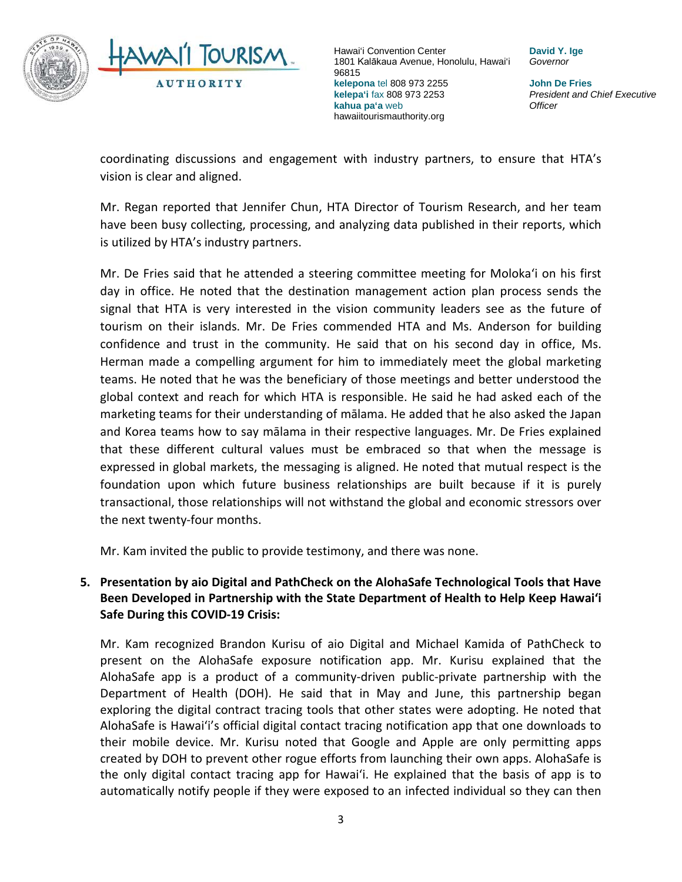

**David Y. Ige** *Governor*

**John De Fries** *President and Chief Executive Officer*

coordinating discussions and engagement with industry partners, to ensure that HTA's vision is clear and aligned.

Mr. Regan reported that Jennifer Chun, HTA Director of Tourism Research, and her team have been busy collecting, processing, and analyzing data published in their reports, which is utilized by HTA's industry partners.

Mr. De Fries said that he attended a steering committee meeting for Moloka'i on his first day in office. He noted that the destination management action plan process sends the signal that HTA is very interested in the vision community leaders see as the future of tourism on their islands. Mr. De Fries commended HTA and Ms. Anderson for building confidence and trust in the community. He said that on his second day in office, Ms. Herman made a compelling argument for him to immediately meet the global marketing teams. He noted that he was the beneficiary of those meetings and better understood the global context and reach for which HTA is responsible. He said he had asked each of the marketing teams for their understanding of mālama. He added that he also asked the Japan and Korea teams how to say mālama in their respective languages. Mr. De Fries explained that these different cultural values must be embraced so that when the message is expressed in global markets, the messaging is aligned. He noted that mutual respect is the foundation upon which future business relationships are built because if it is purely transactional, those relationships will not withstand the global and economic stressors over the next twenty-four months.

Mr. Kam invited the public to provide testimony, and there was none.

# **5. Presentation by aio Digital and PathCheck on the AlohaSafe Technological Tools that Have Been Developed in Partnership with the State Department of Health to Help Keep Hawaiʻi Safe During this COVID-19 Crisis:**

Mr. Kam recognized Brandon Kurisu of aio Digital and Michael Kamida of PathCheck to present on the AlohaSafe exposure notification app. Mr. Kurisu explained that the AlohaSafe app is a product of a community-driven public-private partnership with the Department of Health (DOH). He said that in May and June, this partnership began exploring the digital contract tracing tools that other states were adopting. He noted that AlohaSafe is Hawai'i's official digital contact tracing notification app that one downloads to their mobile device. Mr. Kurisu noted that Google and Apple are only permitting apps created by DOH to prevent other rogue efforts from launching their own apps. AlohaSafe is the only digital contact tracing app for Hawai'i. He explained that the basis of app is to automatically notify people if they were exposed to an infected individual so they can then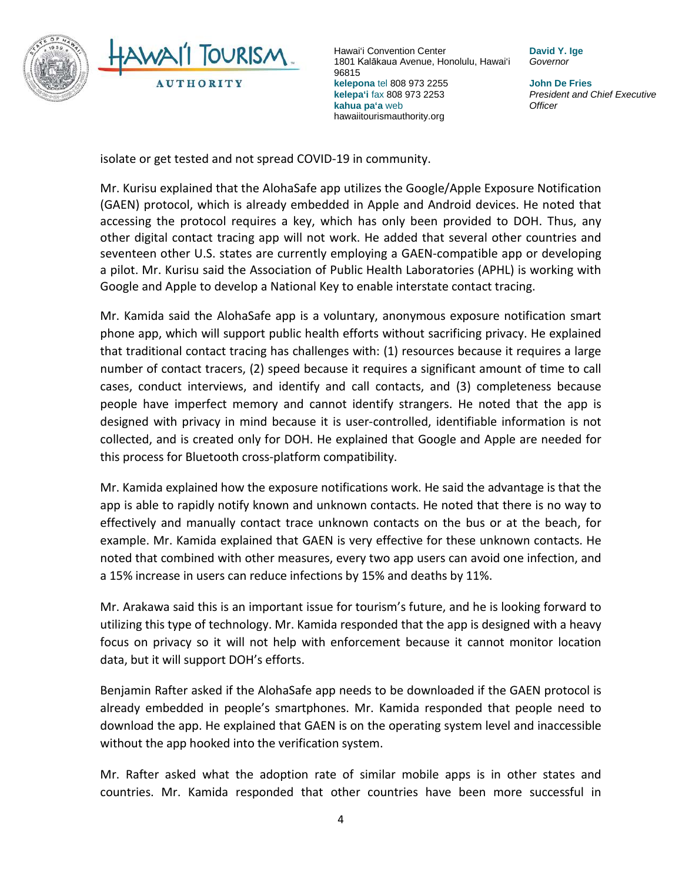

**David Y. Ige** *Governor*

**John De Fries** *President and Chief Executive Officer*

isolate or get tested and not spread COVID-19 in community.

Mr. Kurisu explained that the AlohaSafe app utilizes the Google/Apple Exposure Notification (GAEN) protocol, which is already embedded in Apple and Android devices. He noted that accessing the protocol requires a key, which has only been provided to DOH. Thus, any other digital contact tracing app will not work. He added that several other countries and seventeen other U.S. states are currently employing a GAEN-compatible app or developing a pilot. Mr. Kurisu said the Association of Public Health Laboratories (APHL) is working with Google and Apple to develop a National Key to enable interstate contact tracing.

Mr. Kamida said the AlohaSafe app is a voluntary, anonymous exposure notification smart phone app, which will support public health efforts without sacrificing privacy. He explained that traditional contact tracing has challenges with: (1) resources because it requires a large number of contact tracers, (2) speed because it requires a significant amount of time to call cases, conduct interviews, and identify and call contacts, and (3) completeness because people have imperfect memory and cannot identify strangers. He noted that the app is designed with privacy in mind because it is user-controlled, identifiable information is not collected, and is created only for DOH. He explained that Google and Apple are needed for this process for Bluetooth cross-platform compatibility.

Mr. Kamida explained how the exposure notifications work. He said the advantage is that the app is able to rapidly notify known and unknown contacts. He noted that there is no way to effectively and manually contact trace unknown contacts on the bus or at the beach, for example. Mr. Kamida explained that GAEN is very effective for these unknown contacts. He noted that combined with other measures, every two app users can avoid one infection, and a 15% increase in users can reduce infections by 15% and deaths by 11%.

Mr. Arakawa said this is an important issue for tourism's future, and he is looking forward to utilizing this type of technology. Mr. Kamida responded that the app is designed with a heavy focus on privacy so it will not help with enforcement because it cannot monitor location data, but it will support DOH's efforts.

Benjamin Rafter asked if the AlohaSafe app needs to be downloaded if the GAEN protocol is already embedded in people's smartphones. Mr. Kamida responded that people need to download the app. He explained that GAEN is on the operating system level and inaccessible without the app hooked into the verification system.

Mr. Rafter asked what the adoption rate of similar mobile apps is in other states and countries. Mr. Kamida responded that other countries have been more successful in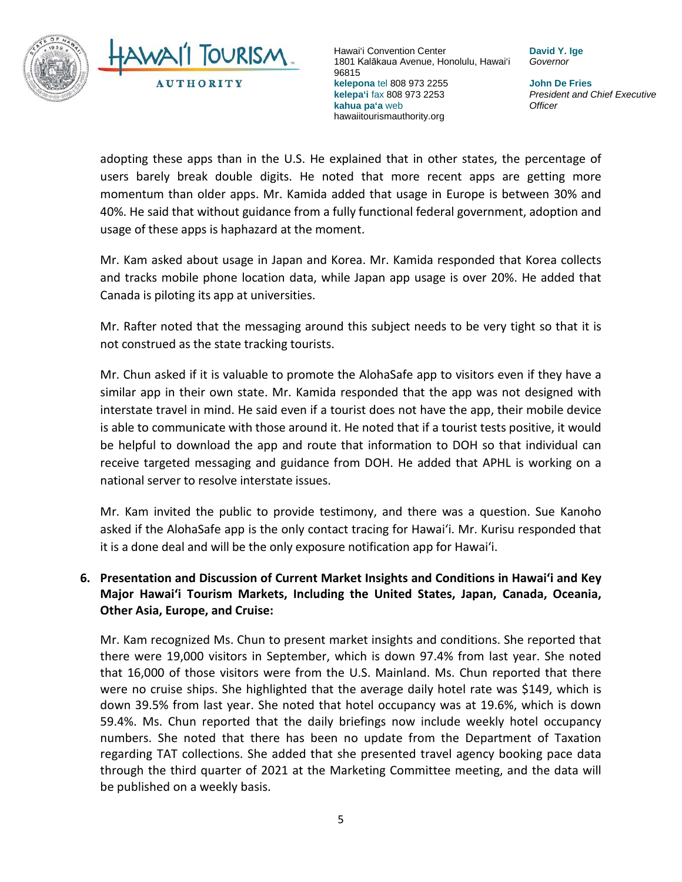

**David Y. Ige** *Governor*

**John De Fries** *President and Chief Executive Officer*

adopting these apps than in the U.S. He explained that in other states, the percentage of users barely break double digits. He noted that more recent apps are getting more momentum than older apps. Mr. Kamida added that usage in Europe is between 30% and 40%. He said that without guidance from a fully functional federal government, adoption and usage of these apps is haphazard at the moment.

Mr. Kam asked about usage in Japan and Korea. Mr. Kamida responded that Korea collects and tracks mobile phone location data, while Japan app usage is over 20%. He added that Canada is piloting its app at universities.

Mr. Rafter noted that the messaging around this subject needs to be very tight so that it is not construed as the state tracking tourists.

Mr. Chun asked if it is valuable to promote the AlohaSafe app to visitors even if they have a similar app in their own state. Mr. Kamida responded that the app was not designed with interstate travel in mind. He said even if a tourist does not have the app, their mobile device is able to communicate with those around it. He noted that if a tourist tests positive, it would be helpful to download the app and route that information to DOH so that individual can receive targeted messaging and guidance from DOH. He added that APHL is working on a national server to resolve interstate issues.

Mr. Kam invited the public to provide testimony, and there was a question. Sue Kanoho asked if the AlohaSafe app is the only contact tracing for Hawai'i. Mr. Kurisu responded that it is a done deal and will be the only exposure notification app for Hawai'i.

# **6. Presentation and Discussion of Current Market Insights and Conditions in Hawai'i and Key Major Hawai'i Tourism Markets, Including the United States, Japan, Canada, Oceania, Other Asia, Europe, and Cruise:**

Mr. Kam recognized Ms. Chun to present market insights and conditions. She reported that there were 19,000 visitors in September, which is down 97.4% from last year. She noted that 16,000 of those visitors were from the U.S. Mainland. Ms. Chun reported that there were no cruise ships. She highlighted that the average daily hotel rate was \$149, which is down 39.5% from last year. She noted that hotel occupancy was at 19.6%, which is down 59.4%. Ms. Chun reported that the daily briefings now include weekly hotel occupancy numbers. She noted that there has been no update from the Department of Taxation regarding TAT collections. She added that she presented travel agency booking pace data through the third quarter of 2021 at the Marketing Committee meeting, and the data will be published on a weekly basis.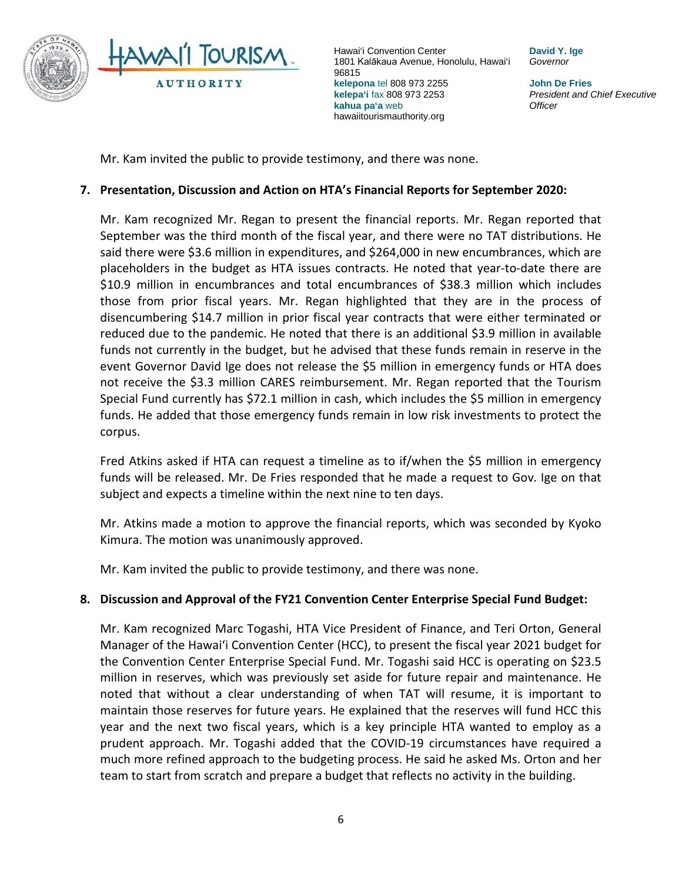

**David Y. Ige** *Governor*

**John De Fries** *President and Chief Executive Officer*

Mr. Kam invited the public to provide testimony, and there was none.

#### **7. Presentation, Discussion and Action on HTA's Financial Reports for September 2020:**

Mr. Kam recognized Mr. Regan to present the financial reports. Mr. Regan reported that September was the third month of the fiscal year, and there were no TAT distributions. He said there were \$3.6 million in expenditures, and \$264,000 in new encumbrances, which are placeholders in the budget as HTA issues contracts. He noted that year-to-date there are \$10.9 million in encumbrances and total encumbrances of \$38.3 million which includes those from prior fiscal years. Mr. Regan highlighted that they are in the process of disencumbering \$14.7 million in prior fiscal year contracts that were either terminated or reduced due to the pandemic. He noted that there is an additional \$3.9 million in available funds not currently in the budget, but he advised that these funds remain in reserve in the event Governor David Ige does not release the \$5 million in emergency funds or HTA does not receive the \$3.3 million CARES reimbursement. Mr. Regan reported that the Tourism Special Fund currently has \$72.1 million in cash, which includes the \$5 million in emergency funds. He added that those emergency funds remain in low risk investments to protect the corpus.

Fred Atkins asked if HTA can request a timeline as to if/when the \$5 million in emergency funds will be released. Mr. De Fries responded that he made a request to Gov. Ige on that subject and expects a timeline within the next nine to ten days.

Mr. Atkins made a motion to approve the financial reports, which was seconded by Kyoko Kimura. The motion was unanimously approved.

Mr. Kam invited the public to provide testimony, and there was none.

### **8. Discussion and Approval of the FY21 Convention Center Enterprise Special Fund Budget:**

Mr. Kam recognized Marc Togashi, HTA Vice President of Finance, and Teri Orton, General Manager of the Hawai'i Convention Center (HCC), to present the fiscal year 2021 budget for the Convention Center Enterprise Special Fund. Mr. Togashi said HCC is operating on \$23.5 million in reserves, which was previously set aside for future repair and maintenance. He noted that without a clear understanding of when TAT will resume, it is important to maintain those reserves for future years. He explained that the reserves will fund HCC this year and the next two fiscal years, which is a key principle HTA wanted to employ as a prudent approach. Mr. Togashi added that the COVID-19 circumstances have required a much more refined approach to the budgeting process. He said he asked Ms. Orton and her team to start from scratch and prepare a budget that reflects no activity in the building.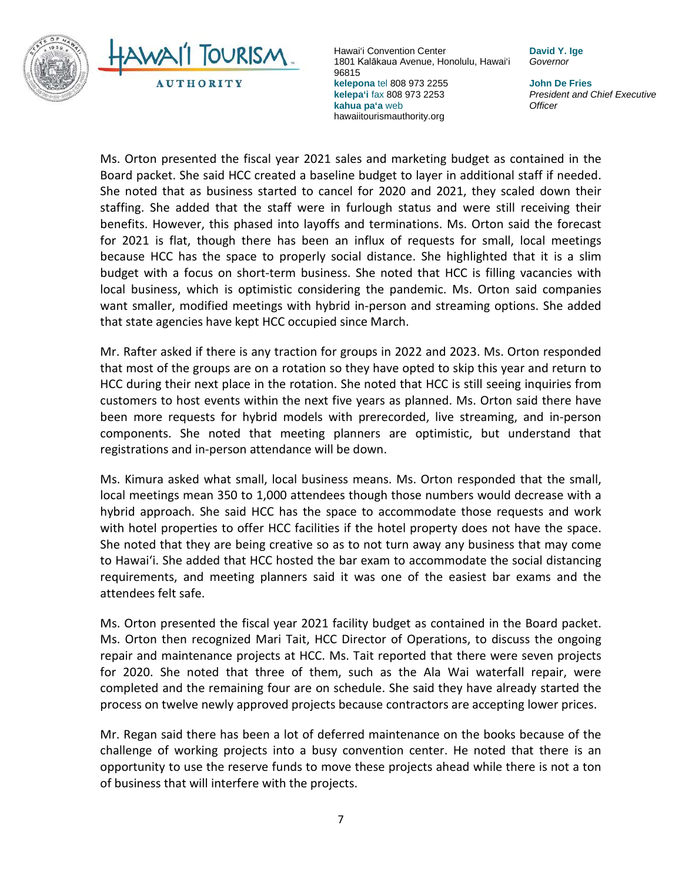

hawaiitourismauthority.org

**David Y. Ige** *Governor*

> **John De Fries** *President and Chief Executive Officer*

Ms. Orton presented the fiscal year 2021 sales and marketing budget as contained in the Board packet. She said HCC created a baseline budget to layer in additional staff if needed. She noted that as business started to cancel for 2020 and 2021, they scaled down their staffing. She added that the staff were in furlough status and were still receiving their benefits. However, this phased into layoffs and terminations. Ms. Orton said the forecast for 2021 is flat, though there has been an influx of requests for small, local meetings because HCC has the space to properly social distance. She highlighted that it is a slim budget with a focus on short-term business. She noted that HCC is filling vacancies with local business, which is optimistic considering the pandemic. Ms. Orton said companies want smaller, modified meetings with hybrid in-person and streaming options. She added that state agencies have kept HCC occupied since March.

Mr. Rafter asked if there is any traction for groups in 2022 and 2023. Ms. Orton responded that most of the groups are on a rotation so they have opted to skip this year and return to HCC during their next place in the rotation. She noted that HCC is still seeing inquiries from customers to host events within the next five years as planned. Ms. Orton said there have been more requests for hybrid models with prerecorded, live streaming, and in-person components. She noted that meeting planners are optimistic, but understand that registrations and in-person attendance will be down.

Ms. Kimura asked what small, local business means. Ms. Orton responded that the small, local meetings mean 350 to 1,000 attendees though those numbers would decrease with a hybrid approach. She said HCC has the space to accommodate those requests and work with hotel properties to offer HCC facilities if the hotel property does not have the space. She noted that they are being creative so as to not turn away any business that may come to Hawai'i. She added that HCC hosted the bar exam to accommodate the social distancing requirements, and meeting planners said it was one of the easiest bar exams and the attendees felt safe.

Ms. Orton presented the fiscal year 2021 facility budget as contained in the Board packet. Ms. Orton then recognized Mari Tait, HCC Director of Operations, to discuss the ongoing repair and maintenance projects at HCC. Ms. Tait reported that there were seven projects for 2020. She noted that three of them, such as the Ala Wai waterfall repair, were completed and the remaining four are on schedule. She said they have already started the process on twelve newly approved projects because contractors are accepting lower prices.

Mr. Regan said there has been a lot of deferred maintenance on the books because of the challenge of working projects into a busy convention center. He noted that there is an opportunity to use the reserve funds to move these projects ahead while there is not a ton of business that will interfere with the projects.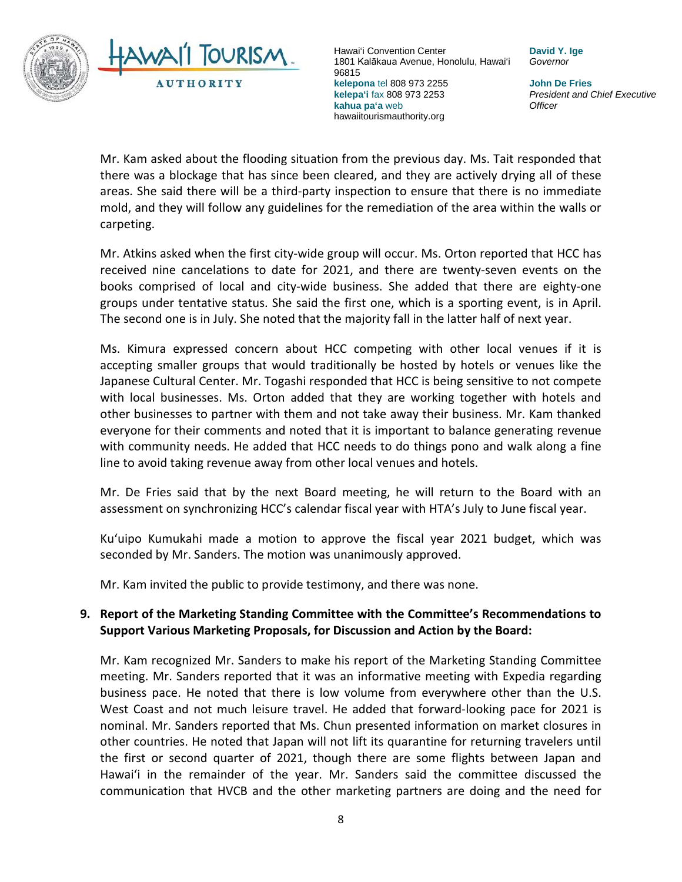

**David Y. Ige** *Governor*

**John De Fries** *President and Chief Executive Officer*

Mr. Kam asked about the flooding situation from the previous day. Ms. Tait responded that there was a blockage that has since been cleared, and they are actively drying all of these areas. She said there will be a third-party inspection to ensure that there is no immediate mold, and they will follow any guidelines for the remediation of the area within the walls or carpeting.

Mr. Atkins asked when the first city-wide group will occur. Ms. Orton reported that HCC has received nine cancelations to date for 2021, and there are twenty-seven events on the books comprised of local and city-wide business. She added that there are eighty-one groups under tentative status. She said the first one, which is a sporting event, is in April. The second one is in July. She noted that the majority fall in the latter half of next year.

Ms. Kimura expressed concern about HCC competing with other local venues if it is accepting smaller groups that would traditionally be hosted by hotels or venues like the Japanese Cultural Center. Mr. Togashi responded that HCC is being sensitive to not compete with local businesses. Ms. Orton added that they are working together with hotels and other businesses to partner with them and not take away their business. Mr. Kam thanked everyone for their comments and noted that it is important to balance generating revenue with community needs. He added that HCC needs to do things pono and walk along a fine line to avoid taking revenue away from other local venues and hotels.

Mr. De Fries said that by the next Board meeting, he will return to the Board with an assessment on synchronizing HCC's calendar fiscal year with HTA's July to June fiscal year.

Kuʻuipo Kumukahi made a motion to approve the fiscal year 2021 budget, which was seconded by Mr. Sanders. The motion was unanimously approved.

Mr. Kam invited the public to provide testimony, and there was none.

### **9. Report of the Marketing Standing Committee with the Committee's Recommendations to Support Various Marketing Proposals, for Discussion and Action by the Board:**

Mr. Kam recognized Mr. Sanders to make his report of the Marketing Standing Committee meeting. Mr. Sanders reported that it was an informative meeting with Expedia regarding business pace. He noted that there is low volume from everywhere other than the U.S. West Coast and not much leisure travel. He added that forward-looking pace for 2021 is nominal. Mr. Sanders reported that Ms. Chun presented information on market closures in other countries. He noted that Japan will not lift its quarantine for returning travelers until the first or second quarter of 2021, though there are some flights between Japan and Hawai'i in the remainder of the year. Mr. Sanders said the committee discussed the communication that HVCB and the other marketing partners are doing and the need for